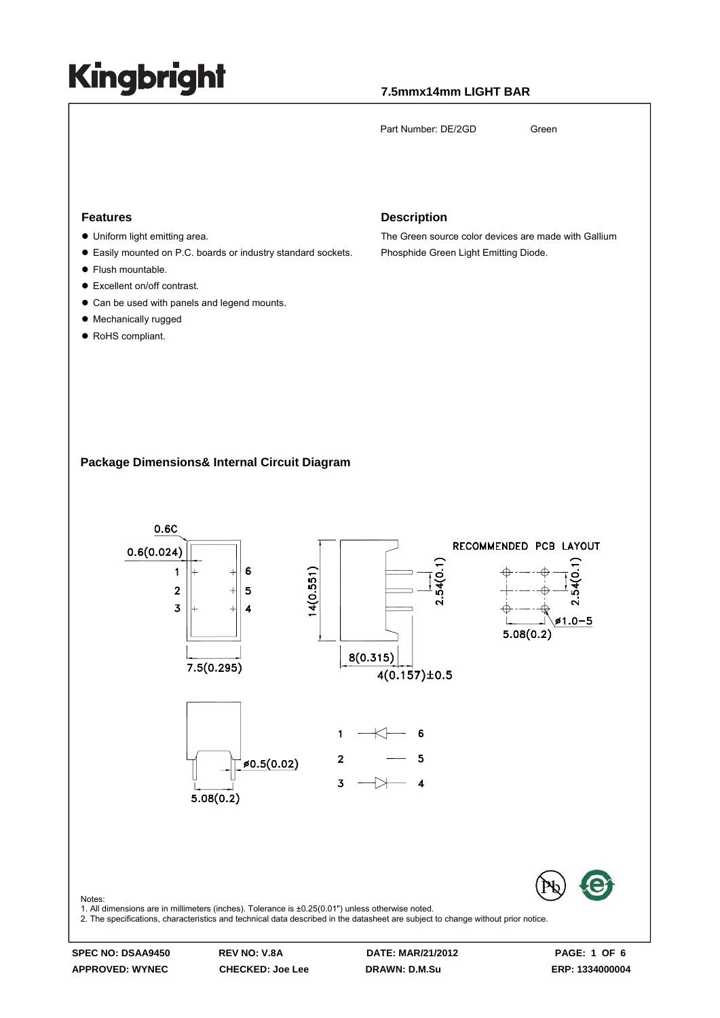### **7.5mmx14mm LIGHT BAR**

Part Number: DE/2GD Green

#### **Features**

- $\bullet$  Uniform light emitting area.
- $\bullet$  Easily mounted on P.C. boards or industry standard sockets.
- $\bullet$  Flush mountable.
- Excellent on/off contrast.
- Can be used with panels and legend mounts.
- Mechanically rugged
- RoHS compliant.

#### **Description**

The Green source color devices are made with Gallium Phosphide Green Light Emitting Diode.

#### **Package Dimensions& Internal Circuit Diagram**



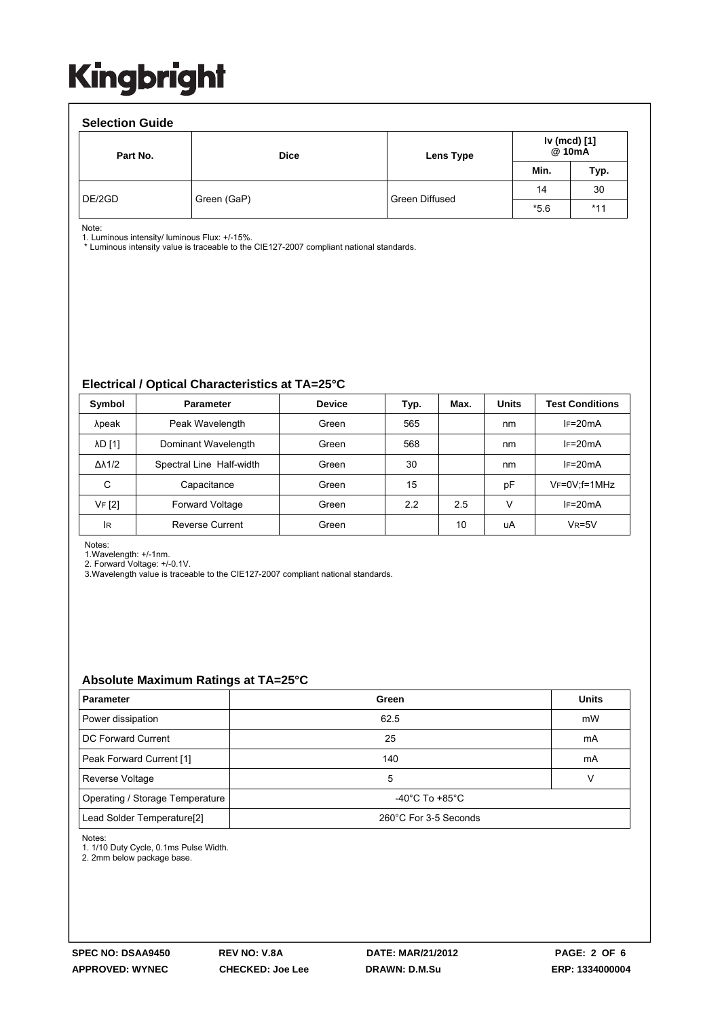| <b>Selection Guide</b> |             |                |                        |       |  |  |  |  |  |
|------------------------|-------------|----------------|------------------------|-------|--|--|--|--|--|
| Part No.               | <b>Dice</b> | Lens Type      | Iv (mcd) [1]<br>@ 10mA |       |  |  |  |  |  |
|                        |             |                | Min.                   | Typ.  |  |  |  |  |  |
| DE/2GD                 | Green (GaP) | Green Diffused | 14                     | 30    |  |  |  |  |  |
|                        |             |                | $*5.6$                 | $*11$ |  |  |  |  |  |

Note:

1. Luminous intensity/ luminous Flux: +/-15%.

\* Luminous intensity value is traceable to the CIE127-2007 compliant national standards.

#### **Electrical / Optical Characteristics at TA=25°C**

| Symbol              | <b>Parameter</b>         | <b>Device</b> | Typ. | Max. | <b>Units</b> | <b>Test Conditions</b> |
|---------------------|--------------------------|---------------|------|------|--------------|------------------------|
| λpeak               | Peak Wavelength          | Green         | 565  |      | nm           | $IF=20mA$              |
| λD [1]              | Dominant Wavelength      | Green         | 568  |      | nm           | $IF=20mA$              |
| $\Delta\lambda$ 1/2 | Spectral Line Half-width | Green         | 30   |      | nm           | $IF=20mA$              |
| C                   | Capacitance              | Green         | 15   |      | рF           | $V_F = 0V$ ; f=1MHz    |
| VF [2]              | Forward Voltage          | Green         | 2.2  | 2.5  | ν            | $IF=20mA$              |
| lR                  | <b>Reverse Current</b>   | Green         |      | 10   | uA           | $V_R = 5V$             |

Notes:

1.Wavelength: +/-1nm.

2. Forward Voltage: +/-0.1V.

3.Wavelength value is traceable to the CIE127-2007 compliant national standards.

#### **Absolute Maximum Ratings at TA=25°C**

| <b>Parameter</b>                       | Green                                | <b>Units</b> |  |
|----------------------------------------|--------------------------------------|--------------|--|
| Power dissipation                      | 62.5                                 | mW           |  |
| DC Forward Current                     | 25                                   | mA           |  |
| Peak Forward Current [1]               | 140                                  | mA           |  |
| Reverse Voltage                        | 5                                    |              |  |
| Operating / Storage Temperature        | -40 $^{\circ}$ C To +85 $^{\circ}$ C |              |  |
| Lead Solder Temperature <sup>[2]</sup> | 260°C For 3-5 Seconds                |              |  |

Notes:

1. 1/10 Duty Cycle, 0.1ms Pulse Width.

2. 2mm below package base.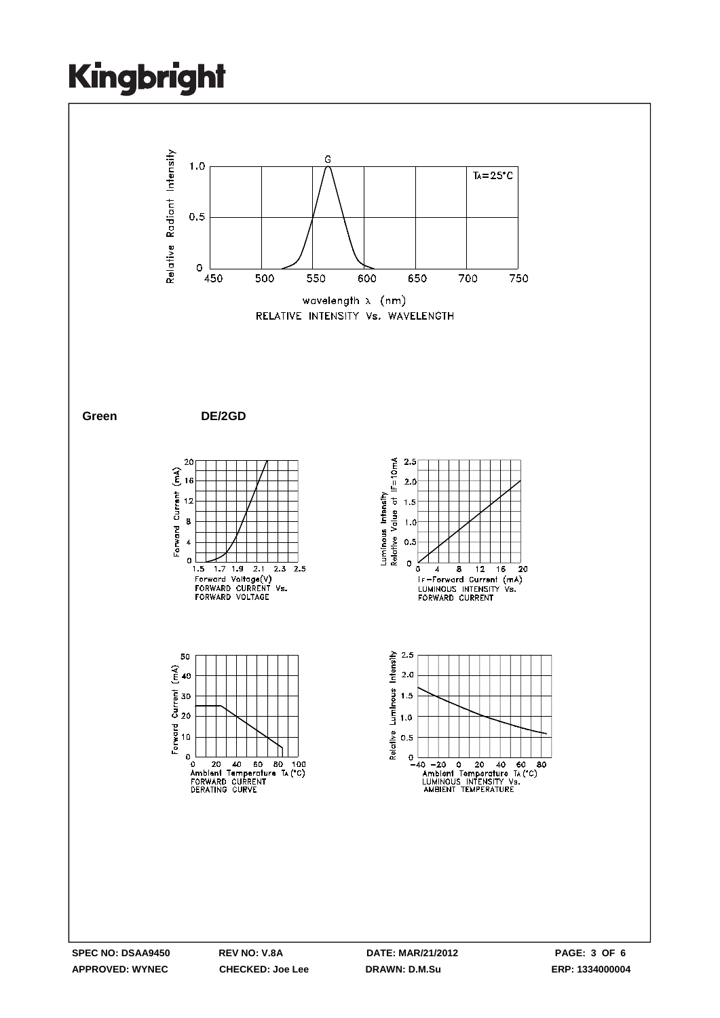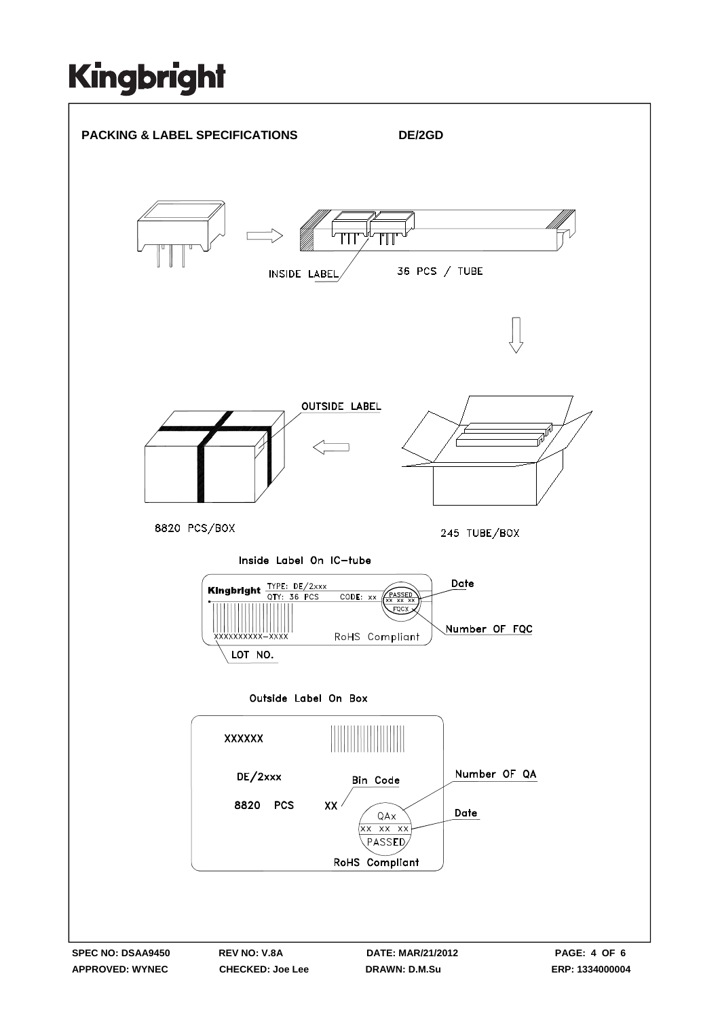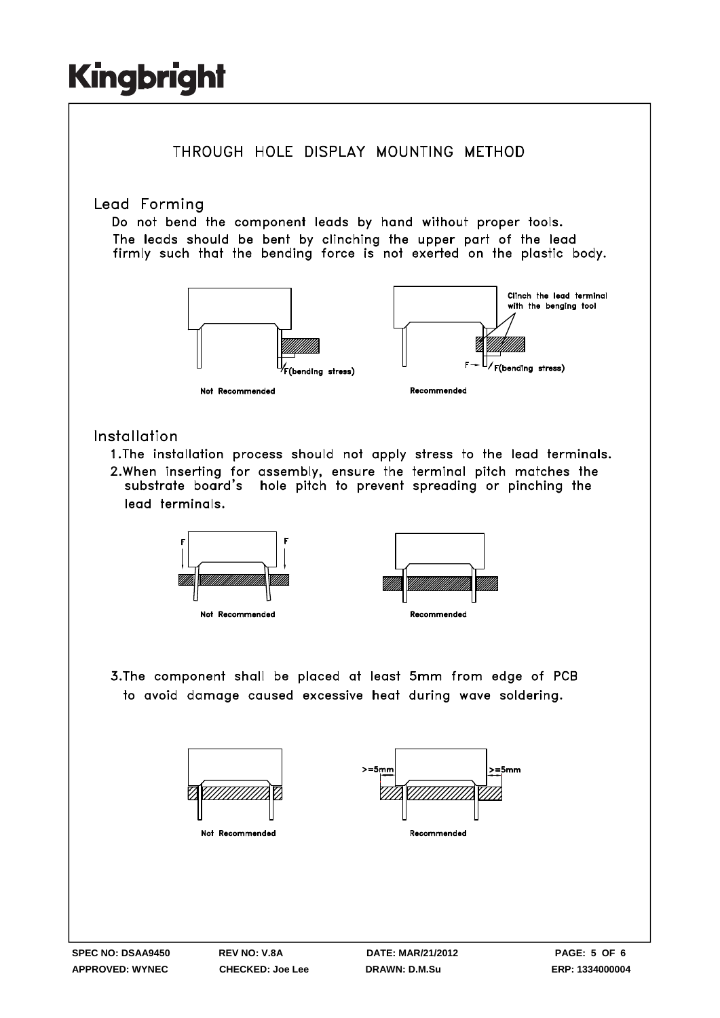